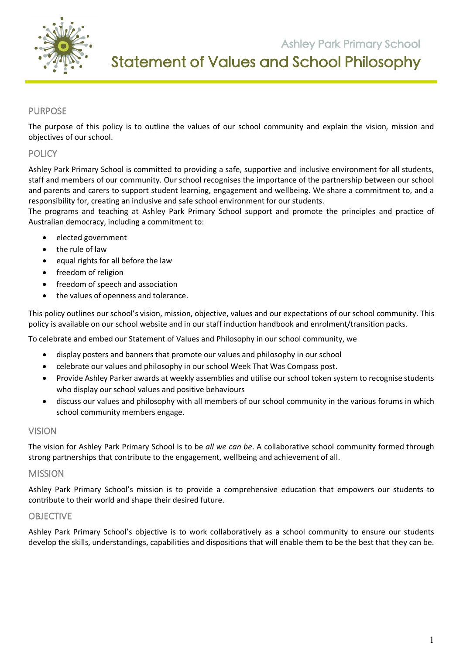

**Ashley Park Primary School** Statement of Values and School Philosophy

 **105 Orchard Road Doreen 3754**

# PURPOSE

The purpose of this policy is to outline the values of our school community and explain the vision, mission and objectives of our school.

### **POLICY**

Ashley Park Primary School is committed to providing a safe, supportive and inclusive environment for all students, staff and members of our community. Our school recognises the importance of the partnership between our school and parents and carers to support student learning, engagement and wellbeing. We share a commitment to, and a responsibility for, creating an inclusive and safe school environment for our students.

The programs and teaching at Ashley Park Primary School support and promote the principles and practice of Australian democracy, including a commitment to:

- elected government
- the rule of law
- equal rights for all before the law
- freedom of religion
- freedom of speech and association
- the values of openness and tolerance.

This policy outlines our school's vision, mission, objective, values and our expectations of our school community. This policy is available on our school website and in our staff induction handbook and enrolment/transition packs.

To celebrate and embed our Statement of Values and Philosophy in our school community, we

- display posters and banners that promote our values and philosophy in our school
- celebrate our values and philosophy in our school Week That Was Compass post.
- Provide Ashley Parker awards at weekly assemblies and utilise our school token system to recognise students who display our school values and positive behaviours
- discuss our values and philosophy with all members of our school community in the various forums in which school community members engage.

### VISION

The vision for Ashley Park Primary School is to be *all we can be*. A collaborative school community formed through strong partnerships that contribute to the engagement, wellbeing and achievement of all.

### MISSION

Ashley Park Primary School's mission is to provide a comprehensive education that empowers our students to contribute to their world and shape their desired future.

### **OBJECTIVE**

Ashley Park Primary School's objective is to work collaboratively as a school community to ensure our students develop the skills, understandings, capabilities and dispositions that will enable them to be the best that they can be.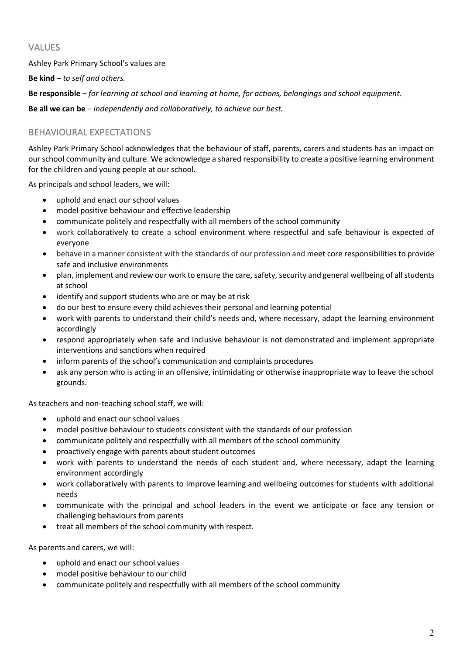# VALUES

Ashley Park Primary School's values are

**Be kind** – *to self and others.*

**Be responsible** – *for learning at school and learning at home, for actions, belongings and school equipment.*

**Be all we can be** – *independently and collaboratively, to achieve our best.*

# BEHAVIOURAL EXPECTATIONS

Ashley Park Primary School acknowledges that the behaviour of staff, parents, carers and students has an impact on our school community and culture. We acknowledge a shared responsibility to create a positive learning environment for the children and young people at our school.

As principals and school leaders, we will:

- uphold and enact our school values
- model positive behaviour and effective leadership
- communicate politely and respectfully with all members of the school community
- work collaboratively to create a school environment where respectful and safe behaviour is expected of everyone
- behave in a manner consistent with the standards of our profession and meet core responsibilities to provide safe and inclusive environments
- plan, implement and review our work to ensure the care, safety, security and general wellbeing of all students at school
- identify and support students who are or may be at risk
- do our best to ensure every child achieves their personal and learning potential
- work with parents to understand their child's needs and, where necessary, adapt the learning environment accordingly
- respond appropriately when safe and inclusive behaviour is not demonstrated and implement appropriate interventions and sanctions when required
- inform parents of the school's communication and complaints procedures
- ask any person who is acting in an offensive, intimidating or otherwise inappropriate way to leave the school grounds.

As teachers and non-teaching school staff, we will:

- uphold and enact our school values
- model positive behaviour to students consistent with the standards of our profession
- communicate politely and respectfully with all members of the school community
- proactively engage with parents about student outcomes
- work with parents to understand the needs of each student and, where necessary, adapt the learning environment accordingly
- work collaboratively with parents to improve learning and wellbeing outcomes for students with additional needs
- communicate with the principal and school leaders in the event we anticipate or face any tension or challenging behaviours from parents
- treat all members of the school community with respect.

As parents and carers, we will:

- uphold and enact our school values
- model positive behaviour to our child
- communicate politely and respectfully with all members of the school community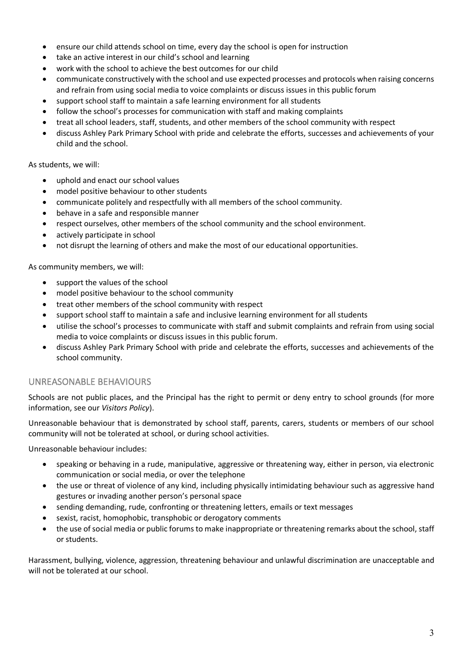- ensure our child attends school on time, every day the school is open for instruction
- take an active interest in our child's school and learning
- work with the school to achieve the best outcomes for our child
- communicate constructively with the school and use expected processes and protocols when raising concerns and refrain from using social media to voice complaints or discuss issues in this public forum
- support school staff to maintain a safe learning environment for all students
- follow the school's processes for communication with staff and making complaints
- treat all school leaders, staff, students, and other members of the school community with respect
- discuss Ashley Park Primary School with pride and celebrate the efforts, successes and achievements of your child and the school.

As students, we will:

- uphold and enact our school values
- model positive behaviour to other students
- communicate politely and respectfully with all members of the school community.
- behave in a safe and responsible manner
- respect ourselves, other members of the school community and the school environment.
- actively participate in school
- not disrupt the learning of others and make the most of our educational opportunities.

As community members, we will:

- support the values of the school
- model positive behaviour to the school community
- treat other members of the school community with respect
- support school staff to maintain a safe and inclusive learning environment for all students
- utilise the school's processes to communicate with staff and submit complaints and refrain from using social media to voice complaints or discuss issues in this public forum.
- discuss Ashley Park Primary School with pride and celebrate the efforts, successes and achievements of the school community.

# UNREASONABLE BEHAVIOURS

Schools are not public places, and the Principal has the right to permit or deny entry to school grounds (for more information, see our *Visitors Policy*).

Unreasonable behaviour that is demonstrated by school staff, parents, carers, students or members of our school community will not be tolerated at school, or during school activities.

Unreasonable behaviour includes:

- speaking or behaving in a rude, manipulative, aggressive or threatening way, either in person, via electronic communication or social media, or over the telephone
- the use or threat of violence of any kind, including physically intimidating behaviour such as aggressive hand gestures or invading another person's personal space
- sending demanding, rude, confronting or threatening letters, emails or text messages
- sexist, racist, homophobic, transphobic or derogatory comments
- the use of social media or public forums to make inappropriate or threatening remarks about the school, staff or students.

Harassment, bullying, violence, aggression, threatening behaviour and unlawful discrimination are unacceptable and will not be tolerated at our school.